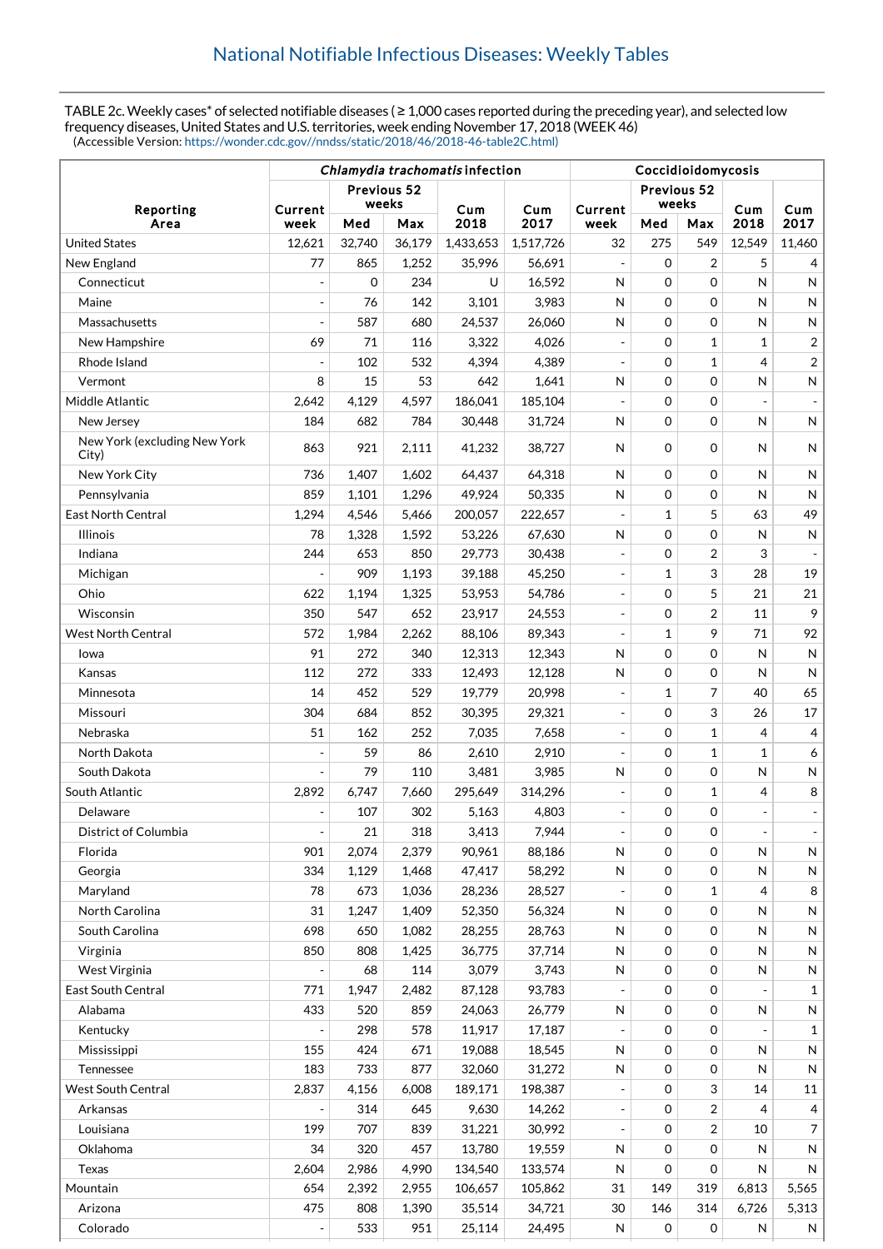TABLE 2c. Weekly cases\* of selected notifiable diseases ( ≥ 1,000 cases reported during the preceding year), and selected low frequency diseases, United States and U.S. territories, week ending November 17, 2018 (WEEK 46) (Accessible Version: [https://wonder.cdc.gov//nndss/static/2018/46/2018-46-table2C.html\)](https://wonder.cdc.gov//nndss/static/2018/46/2018-46-table2C.html)

|                                       | Chlamydia trachomatis infection |             |        |           |           | Coccidioidomycosis       |              |                |                |                         |  |
|---------------------------------------|---------------------------------|-------------|--------|-----------|-----------|--------------------------|--------------|----------------|----------------|-------------------------|--|
|                                       |                                 | Previous 52 |        |           |           |                          | Previous 52  |                |                |                         |  |
| Reporting                             | Current                         |             | weeks  | Cum       | Cum       | Current                  | weeks        |                | Cum            | Cum                     |  |
| Area                                  | week                            | Med         | Max    | 2018      | 2017      | week                     | Med          | Max            | 2018           | 2017                    |  |
| <b>United States</b>                  | 12,621                          | 32,740      | 36,179 | 1,433,653 | 1,517,726 | 32                       | 275          | 549            | 12.549         | 11,460                  |  |
| New England                           | 77                              | 865         | 1,252  | 35,996    | 56,691    |                          | $\Omega$     | 2              | 5              | 4                       |  |
| Connecticut                           |                                 | $\mathbf 0$ | 234    | U         | 16,592    | N                        | $\Omega$     | 0              | N              | $\mathsf{N}$            |  |
| Maine                                 |                                 | 76          | 142    | 3,101     | 3,983     | N                        | $\mathbf 0$  | 0              | N              | $\mathsf{N}$            |  |
| Massachusetts                         |                                 | 587         | 680    | 24,537    | 26,060    | $\mathsf{N}$             | $\mathbf 0$  | $\mathbf 0$    | N              | N                       |  |
| New Hampshire                         | 69                              | 71          | 116    | 3,322     | 4,026     | $\overline{\phantom{a}}$ | $\mathbf 0$  | $\mathbf{1}$   | 1              | $\overline{\mathbf{c}}$ |  |
| Rhode Island                          |                                 | 102         | 532    | 4,394     | 4,389     | $\overline{a}$           | $\mathbf 0$  | $\mathbf{1}$   | 4              | $\overline{\mathbf{c}}$ |  |
| Vermont                               | 8                               | 15          | 53     | 642       | 1,641     | N                        | $\mathbf 0$  | $\mathbf 0$    | N              | ${\sf N}$               |  |
| Middle Atlantic                       | 2,642                           | 4,129       | 4,597  | 186,041   | 185,104   |                          | $\mathbf 0$  | $\mathbf 0$    |                |                         |  |
| New Jersey                            | 184                             | 682         | 784    | 30,448    | 31,724    | N                        | $\mathbf 0$  | 0              | $\mathsf{N}$   | N                       |  |
| New York (excluding New York<br>City) | 863                             | 921         | 2,111  | 41,232    | 38.727    | N                        | $\mathbf 0$  | $\mathbf 0$    | N              | $\mathsf{N}$            |  |
| New York City                         | 736                             | 1,407       | 1,602  | 64,437    | 64,318    | N                        | $\mathbf 0$  | 0              | N              | $\mathsf{N}$            |  |
| Pennsylvania                          | 859                             | 1,101       | 1,296  | 49,924    | 50,335    | $\mathsf{N}$             | $\mathbf 0$  | 0              | N              | N                       |  |
| <b>East North Central</b>             | 1,294                           | 4,546       | 5,466  | 200,057   | 222,657   |                          | $\mathbf{1}$ | 5              | 63             | 49                      |  |
| <b>Illinois</b>                       | 78                              | 1,328       | 1,592  | 53,226    | 67,630    | $\mathsf{N}$             | $\mathbf 0$  | 0              | N              | N                       |  |
| Indiana                               | 244                             | 653         | 850    | 29,773    | 30,438    | $\overline{a}$           | $\mathbf 0$  | 2              | 3              |                         |  |
| Michigan                              |                                 | 909         | 1,193  | 39,188    | 45,250    | $\overline{\phantom{a}}$ | 1            | 3              | 28             | 19                      |  |
| Ohio                                  | 622                             | 1,194       | 1,325  | 53,953    | 54,786    | $\overline{a}$           | $\mathbf 0$  | 5              | 21             | 21                      |  |
| Wisconsin                             | 350                             | 547         | 652    | 23,917    | 24,553    |                          | $\mathbf 0$  | $\overline{2}$ | 11             | 9                       |  |
| <b>West North Central</b>             | 572                             | 1,984       | 2,262  | 88,106    | 89,343    | $\overline{a}$           | 1            | 9              | 71             | 92                      |  |
| lowa                                  | 91                              | 272         | 340    | 12,313    | 12,343    | N                        | $\mathbf 0$  | 0              | N              | N                       |  |
| Kansas                                | 112                             | 272         | 333    | 12,493    | 12,128    | N                        | $\mathbf 0$  | 0              | N              | N                       |  |
| Minnesota                             | 14                              | 452         | 529    | 19,779    | 20,998    |                          | 1            | 7              | 40             | 65                      |  |
| Missouri                              | 304                             | 684         | 852    | 30,395    | 29,321    |                          | $\mathbf 0$  | 3              | 26             | 17                      |  |
| Nebraska                              | 51                              | 162         | 252    | 7,035     | 7,658     | $\overline{a}$           | $\mathbf 0$  | $\mathbf{1}$   | $\overline{4}$ | 4                       |  |
| North Dakota                          |                                 | 59          | 86     | 2,610     | 2,910     |                          | $\mathbf 0$  | $\mathbf 1$    | 1              | 6                       |  |
| South Dakota                          |                                 | 79          | 110    | 3,481     | 3,985     | $\mathsf{N}$             | $\mathbf 0$  | 0              | $\mathsf{N}$   | N                       |  |
| South Atlantic                        | 2,892                           | 6,747       | 7,660  | 295,649   | 314,296   |                          | $\mathbf 0$  | $\mathbf{1}$   | 4              | 8                       |  |
| Delaware                              |                                 | 107         | 302    | 5,163     | 4,803     | $\overline{a}$           | $\Omega$     | $\mathbf 0$    |                |                         |  |
| District of Columbia                  | $\blacksquare$                  | 21          | 318    | 3,413     | 7,944     | $\overline{\phantom{a}}$ | 0            | 0              | $\overline{a}$ |                         |  |
| Florida                               | 901                             | 2,074       | 2,379  | 90,961    | 88,186    | $\mathsf{N}$             | $\mathbf 0$  | 0              | N              | N                       |  |
| Georgia                               | 334                             | 1,129       | 1,468  | 47,417    | 58,292    | ${\sf N}$                | 0            | 0              | $\mathsf{N}$   | N                       |  |
| Maryland                              | 78                              | 673         | 1,036  | 28,236    | 28,527    | $\overline{\phantom{m}}$ | 0            | 1              | 4              | 8                       |  |
| North Carolina                        | 31                              | 1,247       | 1,409  | 52,350    | 56,324    | N                        | 0            | 0              | N              | N                       |  |
| South Carolina                        | 698                             | 650         | 1,082  | 28,255    | 28,763    | $\mathsf{N}$             | $\mathbf 0$  | 0              | N              | N                       |  |
| Virginia                              | 850                             | 808         | 1,425  | 36,775    | 37,714    | $\mathsf{N}$             | $\mathbf 0$  | 0              | $\mathsf{N}$   | N                       |  |
| West Virginia                         |                                 | 68          | 114    | 3,079     | 3,743     | ${\sf N}$                | $\mathbf 0$  | 0              | N              | N                       |  |
| East South Central                    | 771                             | 1,947       | 2,482  | 87,128    | 93,783    | $\overline{\phantom{a}}$ | 0            | 0              |                | 1                       |  |
| Alabama                               | 433                             | 520         | 859    | 24,063    | 26,779    | $\mathsf{N}$             | $\mathbf 0$  | 0              | $\mathsf{N}$   | N                       |  |
| Kentucky                              |                                 | 298         | 578    | 11,917    | 17,187    |                          | $\mathbf 0$  | 0              |                | 1                       |  |
| Mississippi                           | 155                             | 424         | 671    | 19,088    | 18,545    | $\mathsf{N}$             | $\mathbf 0$  | 0              | N              | N                       |  |
| Tennessee                             | 183                             | 733         | 877    | 32,060    | 31,272    | N                        | $\mathbf 0$  | 0              | N              | N                       |  |
| West South Central                    | 2,837                           | 4,156       | 6,008  | 189,171   | 198,387   |                          | 0            | 3              | 14             | 11                      |  |
| Arkansas                              |                                 | 314         | 645    | 9,630     | 14,262    | $\overline{\phantom{a}}$ | 0            | 2              | 4              | 4                       |  |
| Louisiana                             | 199                             | 707         | 839    | 31,221    | 30,992    |                          | 0            | 2              | 10             | 7                       |  |
| Oklahoma                              | 34                              | 320         | 457    | 13,780    | 19,559    | N                        | 0            | 0              | N              | N                       |  |
| <b>Texas</b>                          | 2,604                           | 2,986       | 4,990  | 134,540   | 133,574   | $\mathsf{N}$             | 0            | $\mathbf 0$    | N              | N                       |  |
| Mountain                              | 654                             | 2,392       | 2,955  | 106,657   | 105,862   | 31                       | 149          | 319            | 6,813          | 5,565                   |  |
| Arizona                               | 475                             | 808         | 1,390  | 35,514    | 34,721    | 30                       | 146          | 314            | 6,726          | 5,313                   |  |
|                                       |                                 |             |        |           |           |                          |              |                |                |                         |  |
| Colorado                              |                                 | 533         | 951    | 25,114    | 24,495    | ${\sf N}$                | 0            | 0              | N              | N                       |  |